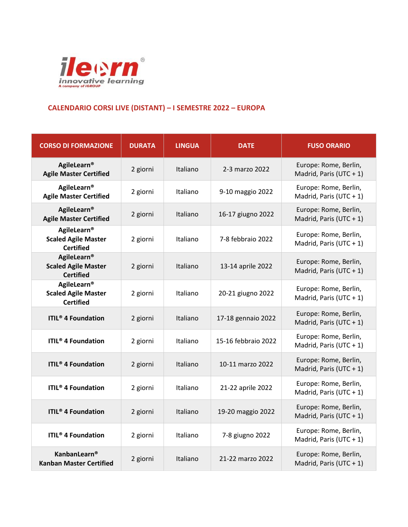

## **CALENDARIO CORSI LIVE (DISTANT) – I SEMESTRE 2022 – EUROPA**

| <b>CORSO DI FORMAZIONE</b>                                           | <b>DURATA</b> | <b>LINGUA</b> | <b>DATE</b>         | <b>FUSO ORARIO</b>                               |
|----------------------------------------------------------------------|---------------|---------------|---------------------|--------------------------------------------------|
| AgileLearn®<br><b>Agile Master Certified</b>                         | 2 giorni      | Italiano      | 2-3 marzo 2022      | Europe: Rome, Berlin,<br>Madrid, Paris (UTC + 1) |
| AgileLearn®<br><b>Agile Master Certified</b>                         | 2 giorni      | Italiano      | 9-10 maggio 2022    | Europe: Rome, Berlin,<br>Madrid, Paris (UTC + 1) |
| AgileLearn®<br><b>Agile Master Certified</b>                         | 2 giorni      | Italiano      | 16-17 giugno 2022   | Europe: Rome, Berlin,<br>Madrid, Paris (UTC + 1) |
| AgileLearn®<br><b>Scaled Agile Master</b><br><b>Certified</b>        | 2 giorni      | Italiano      | 7-8 febbraio 2022   | Europe: Rome, Berlin,<br>Madrid, Paris (UTC + 1) |
| AgileLearn®<br><b>Scaled Agile Master</b><br><b>Certified</b>        | 2 giorni      | Italiano      | 13-14 aprile 2022   | Europe: Rome, Berlin,<br>Madrid, Paris (UTC + 1) |
| <b>AgileLearn®</b><br><b>Scaled Agile Master</b><br><b>Certified</b> | 2 giorni      | Italiano      | 20-21 giugno 2022   | Europe: Rome, Berlin,<br>Madrid, Paris (UTC + 1) |
| <b>ITIL<sup>®</sup></b> 4 Foundation                                 | 2 giorni      | Italiano      | 17-18 gennaio 2022  | Europe: Rome, Berlin,<br>Madrid, Paris (UTC + 1) |
| <b>ITIL<sup>®</sup> 4 Foundation</b>                                 | 2 giorni      | Italiano      | 15-16 febbraio 2022 | Europe: Rome, Berlin,<br>Madrid, Paris (UTC + 1) |
| <b>ITIL<sup>®</sup> 4 Foundation</b>                                 | 2 giorni      | Italiano      | 10-11 marzo 2022    | Europe: Rome, Berlin,<br>Madrid, Paris (UTC + 1) |
| <b>ITIL<sup>®</sup></b> 4 Foundation                                 | 2 giorni      | Italiano      | 21-22 aprile 2022   | Europe: Rome, Berlin,<br>Madrid, Paris (UTC + 1) |
| <b>ITIL<sup>®</sup></b> 4 Foundation                                 | 2 giorni      | Italiano      | 19-20 maggio 2022   | Europe: Rome, Berlin,<br>Madrid, Paris (UTC + 1) |
| <b>ITIL<sup>®</sup></b> 4 Foundation                                 | 2 giorni      | Italiano      | 7-8 giugno 2022     | Europe: Rome, Berlin,<br>Madrid, Paris (UTC + 1) |
| <b>KanbanLearn®</b><br>Kanban Master Certified                       | 2 giorni      | Italiano      | 21-22 marzo 2022    | Europe: Rome, Berlin,<br>Madrid, Paris (UTC + 1) |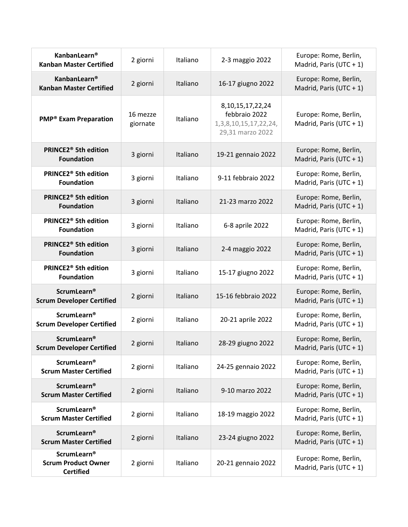| <b>KanbanLearn®</b><br><b>Kanban Master Certified</b>                | 2 giorni             | Italiano | 2-3 maggio 2022                                                                     | Europe: Rome, Berlin,<br>Madrid, Paris (UTC + $1$ ) |
|----------------------------------------------------------------------|----------------------|----------|-------------------------------------------------------------------------------------|-----------------------------------------------------|
| <b>KanbanLearn®</b><br><b>Kanban Master Certified</b>                | 2 giorni             | Italiano | 16-17 giugno 2022                                                                   | Europe: Rome, Berlin,<br>Madrid, Paris (UTC + 1)    |
| <b>PMP<sup>®</sup> Exam Preparation</b>                              | 16 mezze<br>giornate | Italiano | 8, 10, 15, 17, 22, 24<br>febbraio 2022<br>1,3,8,10,15,17,22,24,<br>29,31 marzo 2022 | Europe: Rome, Berlin,<br>Madrid, Paris (UTC + 1)    |
| <b>PRINCE2<sup>®</sup> 5th edition</b><br><b>Foundation</b>          | 3 giorni             | Italiano | 19-21 gennaio 2022                                                                  | Europe: Rome, Berlin,<br>Madrid, Paris (UTC + 1)    |
| <b>PRINCE2<sup>®</sup></b> 5th edition<br><b>Foundation</b>          | 3 giorni             | Italiano | 9-11 febbraio 2022                                                                  | Europe: Rome, Berlin,<br>Madrid, Paris (UTC + $1$ ) |
| <b>PRINCE2<sup>®</sup></b> 5th edition<br><b>Foundation</b>          | 3 giorni             | Italiano | 21-23 marzo 2022                                                                    | Europe: Rome, Berlin,<br>Madrid, Paris (UTC + 1)    |
| <b>PRINCE2<sup>®</sup></b> 5th edition<br><b>Foundation</b>          | 3 giorni             | Italiano | 6-8 aprile 2022                                                                     | Europe: Rome, Berlin,<br>Madrid, Paris (UTC + $1$ ) |
| <b>PRINCE2<sup>®</sup> 5th edition</b><br><b>Foundation</b>          | 3 giorni             | Italiano | 2-4 maggio 2022                                                                     | Europe: Rome, Berlin,<br>Madrid, Paris (UTC + $1$ ) |
| <b>PRINCE2<sup>®</sup> 5th edition</b><br><b>Foundation</b>          | 3 giorni             | Italiano | 15-17 giugno 2022                                                                   | Europe: Rome, Berlin,<br>Madrid, Paris (UTC + $1$ ) |
| <b>ScrumLearn®</b><br><b>Scrum Developer Certified</b>               | 2 giorni             | Italiano | 15-16 febbraio 2022                                                                 | Europe: Rome, Berlin,<br>Madrid, Paris (UTC + 1)    |
| <b>ScrumLearn®</b><br><b>Scrum Developer Certified</b>               | 2 giorni             | Italiano | 20-21 aprile 2022                                                                   | Europe: Rome, Berlin,<br>Madrid, Paris (UTC + $1$ ) |
| <b>ScrumLearn®</b><br><b>Scrum Developer Certified</b>               | 2 giorni             | Italiano | 28-29 giugno 2022                                                                   | Europe: Rome, Berlin,<br>Madrid, Paris (UTC + 1)    |
| <b>ScrumLearn®</b><br><b>Scrum Master Certified</b>                  | 2 giorni             | Italiano | 24-25 gennaio 2022                                                                  | Europe: Rome, Berlin,<br>Madrid, Paris (UTC + $1$ ) |
| <b>ScrumLearn®</b><br><b>Scrum Master Certified</b>                  | 2 giorni             | Italiano | 9-10 marzo 2022                                                                     | Europe: Rome, Berlin,<br>Madrid, Paris (UTC + 1)    |
| <b>ScrumLearn®</b><br><b>Scrum Master Certified</b>                  | 2 giorni             | Italiano | 18-19 maggio 2022                                                                   | Europe: Rome, Berlin,<br>Madrid, Paris (UTC + $1$ ) |
| <b>ScrumLearn®</b><br><b>Scrum Master Certified</b>                  | 2 giorni             | Italiano | 23-24 giugno 2022                                                                   | Europe: Rome, Berlin,<br>Madrid, Paris (UTC + 1)    |
| <b>ScrumLearn®</b><br><b>Scrum Product Owner</b><br><b>Certified</b> | 2 giorni             | Italiano | 20-21 gennaio 2022                                                                  | Europe: Rome, Berlin,<br>Madrid, Paris (UTC + $1$ ) |